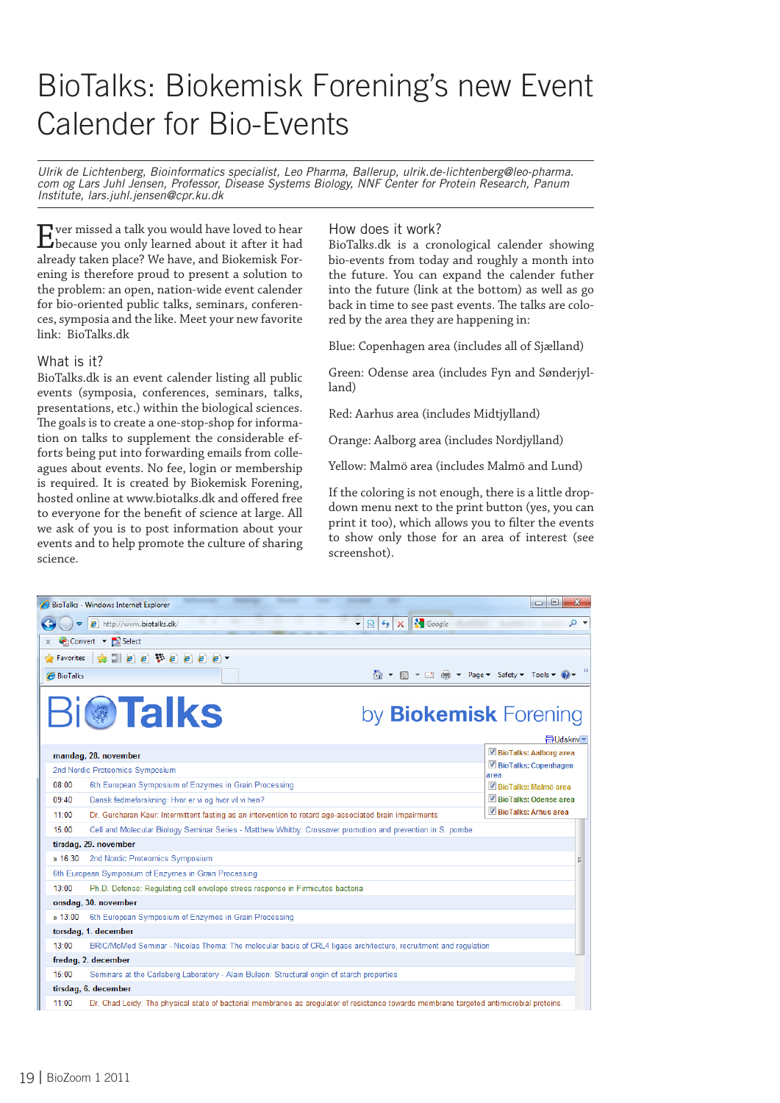# BioTalks: Biokemisk Forening's new Event Calender for Bio-Events

*Ulrik de Lichtenberg, Bioinformatics specialist, Leo Pharma, Ballerup, ulrik.de-lichtenberg@leo-pharma. com og Lars Juhl Jensen, Professor, Disease Systems Biology, NNF Center for Protein Research, Panum Institute, lars.juhl.jensen@cpr.ku.dk*

Ever missed a talk you would have loved to hear because you only learned about it after it had already taken place? We have, and Biokemisk Forening is therefore proud to present a solution to the problem: an open, nation-wide event calender for bio-oriented public talks, seminars, conferences, symposia and the like. Meet your new favorite link: BioTalks.dk

### What is it?

BioTalks.dk is an event calender listing all public events (symposia, conferences, seminars, talks, presentations, etc.) within the biological sciences. The goals is to create a one-stop-shop for information on talks to supplement the considerable efforts being put into forwarding emails from colleagues about events. No fee, login or membership is required. It is created by Biokemisk Forening, hosted online at www.biotalks.dk and offered free to everyone for the benefit of science at large. All we ask of you is to post information about your events and to help promote the culture of sharing science.

### How does it work?

BioTalks.dk is a cronological calender showing bio-events from today and roughly a month into the future. You can expand the calender futher into the future (link at the bottom) as well as go back in time to see past events. The talks are colored by the area they are happening in:

Blue: Copenhagen area (includes all of Sjælland)

Green: Odense area (includes Fyn and Sønderjylland)

Red: Aarhus area (includes Midtjylland)

Orange: Aalborg area (includes Nordjylland)

Yellow: Malmö area (includes Malmö and Lund)

If the coloring is not enough, there is a little dropdown menu next to the print button (yes, you can print it too), which allows you to filter the events to show only those for an area of interest (see screenshot).

| $\mathbf{x}$<br>$\Box$ $\Box$<br>BioTalks - Windows Internet Explorer     |                                                                                                                                         |                               |  |  |
|---------------------------------------------------------------------------|-----------------------------------------------------------------------------------------------------------------------------------------|-------------------------------|--|--|
| <b>S</b> Google<br>- م<br>e http://www.biotalks.dk/<br>图<br>$+$<br>÷<br>× |                                                                                                                                         |                               |  |  |
| Convert v Bi Select                                                       |                                                                                                                                         |                               |  |  |
| $\bullet$ $e$ $e$ $e$ $e$ $e$ $e$ $e$ $e$<br>Pravorites                   |                                                                                                                                         |                               |  |  |
| <b>BioTalks</b>                                                           |                                                                                                                                         |                               |  |  |
| <b>Bi@Talks</b><br>by <b>Biokemisk</b> Forening<br><b>最Udskriv ▼</b>      |                                                                                                                                         |                               |  |  |
|                                                                           | mandag, 28. november                                                                                                                    | BioTalks: Aalborg area        |  |  |
|                                                                           | 2nd Nordic Proteomics Symposium                                                                                                         | BioTalks: Copenhagen          |  |  |
| $08 - 00$                                                                 | 6th European Symposium of Enzymes in Grain Processing                                                                                   | area<br>BioTalks: Malmö area  |  |  |
| $09 - 40$                                                                 | Dansk fedmeforskning: Hvor er vi og hvor vil vi hen?                                                                                    | BioTalks: Odense area         |  |  |
| 11:00                                                                     | Dr. Gurcharan Kaur: Intermittent fasting as an intervention to retard age-associated brain impairments                                  | <b>▼ BioTalks: Arhus area</b> |  |  |
| 15:00                                                                     | Cell and Molecular Biology Seminar Series - Matthew Whitby: Crossover promotion and prevention in S. pombe                              |                               |  |  |
| tirsdag, 29. november                                                     |                                                                                                                                         |                               |  |  |
| $\frac{1}{2}$ 16:30                                                       | 2nd Nordic Proteomics Symposium                                                                                                         |                               |  |  |
| 6th European Symposium of Enzymes in Grain Processing                     |                                                                                                                                         |                               |  |  |
| 13:00                                                                     | Ph.D. Defense: Regulating cell envelope stress response in Firmicutes bacteria                                                          |                               |  |  |
| onsdag, 30. november                                                      |                                                                                                                                         |                               |  |  |
| $*13:00$                                                                  | 6th European Symposium of Enzymes in Grain Processing                                                                                   |                               |  |  |
| torsdag, 1. december                                                      |                                                                                                                                         |                               |  |  |
| $13 - 00$                                                                 | BRIC/MoMed Seminar - Nicolas Thoma: The molecular basis of CRL4 ligase architecture, recruitment and regulation                         |                               |  |  |
| fredag, 2. december                                                       |                                                                                                                                         |                               |  |  |
| 15:00                                                                     | Seminars at the Carlsberg Laboratory - Alain Buleon: Structural origin of starch properties                                             |                               |  |  |
| tirsdag, 6. december                                                      |                                                                                                                                         |                               |  |  |
| $11 - 00$                                                                 | Dr. Chad Leidy: The physical state of bacterial membranes as aregulator of resistance towards membrane targeted antimicrobial proteins. |                               |  |  |